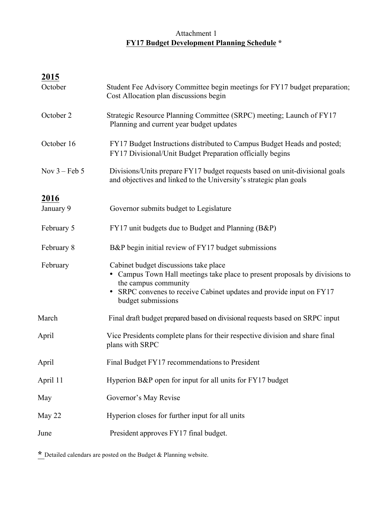## Attachment 1 **FY17 Budget Development Planning Schedule \***

| 2015                    |                                                                                                                                                                                                                                            |  |  |
|-------------------------|--------------------------------------------------------------------------------------------------------------------------------------------------------------------------------------------------------------------------------------------|--|--|
| October                 | Student Fee Advisory Committee begin meetings for FY17 budget preparation;<br>Cost Allocation plan discussions begin                                                                                                                       |  |  |
| October 2               | Strategic Resource Planning Committee (SRPC) meeting; Launch of FY17<br>Planning and current year budget updates                                                                                                                           |  |  |
| October 16              | FY17 Budget Instructions distributed to Campus Budget Heads and posted;<br>FY17 Divisional/Unit Budget Preparation officially begins                                                                                                       |  |  |
| Nov $3 - \text{Feb } 5$ | Divisions/Units prepare FY17 budget requests based on unit-divisional goals<br>and objectives and linked to the University's strategic plan goals                                                                                          |  |  |
| 2016                    |                                                                                                                                                                                                                                            |  |  |
| January 9               | Governor submits budget to Legislature                                                                                                                                                                                                     |  |  |
| February 5              | FY17 unit budgets due to Budget and Planning (B&P)                                                                                                                                                                                         |  |  |
| February 8              | B&P begin initial review of FY17 budget submissions                                                                                                                                                                                        |  |  |
| February                | Cabinet budget discussions take place<br>• Campus Town Hall meetings take place to present proposals by divisions to<br>the campus community<br>• SRPC convenes to receive Cabinet updates and provide input on FY17<br>budget submissions |  |  |
| March                   | Final draft budget prepared based on divisional requests based on SRPC input                                                                                                                                                               |  |  |
| April                   | Vice Presidents complete plans for their respective division and share final<br>plans with SRPC                                                                                                                                            |  |  |
| April                   | Final Budget FY17 recommendations to President                                                                                                                                                                                             |  |  |
| April 11                | Hyperion B&P open for input for all units for FY17 budget                                                                                                                                                                                  |  |  |
| May                     | Governor's May Revise                                                                                                                                                                                                                      |  |  |
| May 22                  | Hyperion closes for further input for all units                                                                                                                                                                                            |  |  |
| June                    | President approves FY17 final budget.                                                                                                                                                                                                      |  |  |

**\*** Detailed calendars are posted on the Budget & Planning website.